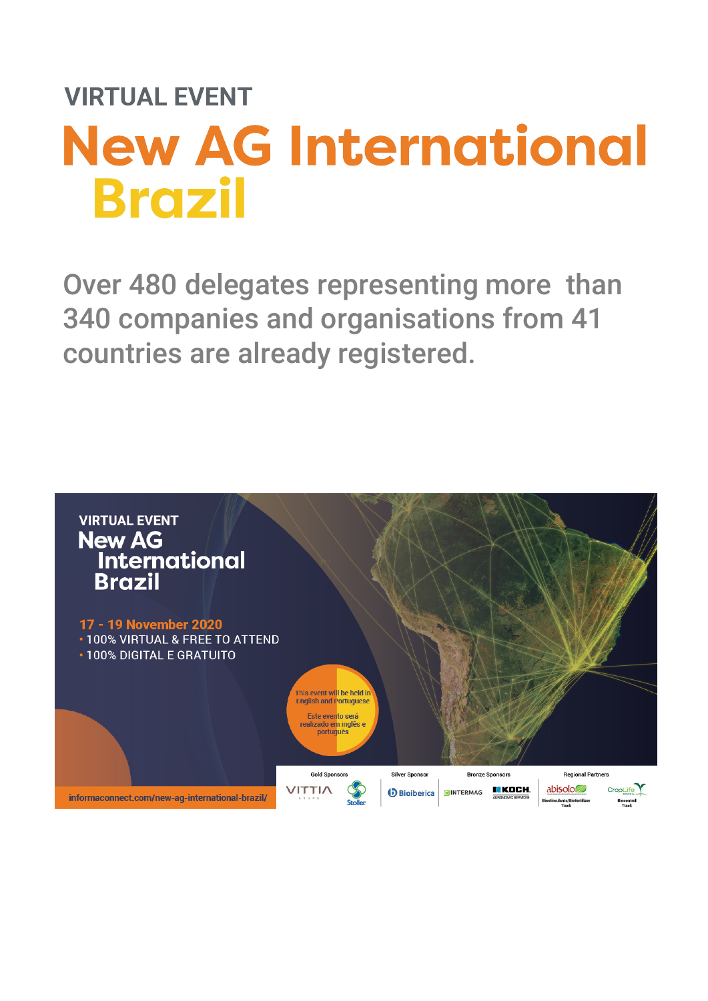Over 480 delegates representing more than 340 companies and organisations from 41 countries are already registered.

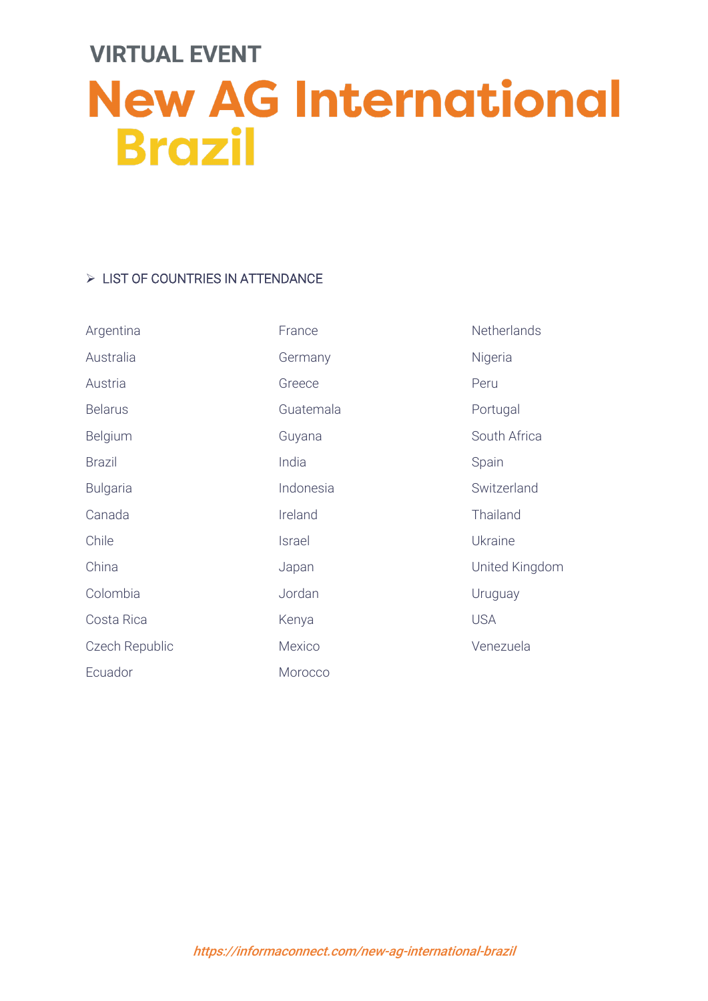#### > LIST OF COUNTRIES IN ATTENDANCE

| Argentina       | France    | Netherlands    |
|-----------------|-----------|----------------|
| Australia       | Germany   | Nigeria        |
| Austria         | Greece    | Peru           |
| <b>Belarus</b>  | Guatemala | Portugal       |
| Belgium         | Guyana    | South Africa   |
| <b>Brazil</b>   | India     | Spain          |
| <b>Bulgaria</b> | Indonesia | Switzerland    |
| Canada          | Ireland   | Thailand       |
| Chile           | Israel    | Ukraine        |
| China           | Japan     | United Kingdom |
| Colombia        | Jordan    | Uruguay        |
| Costa Rica      | Kenya     | <b>USA</b>     |
| Czech Republic  | Mexico    | Venezuela      |
| Ecuador         | Morocco   |                |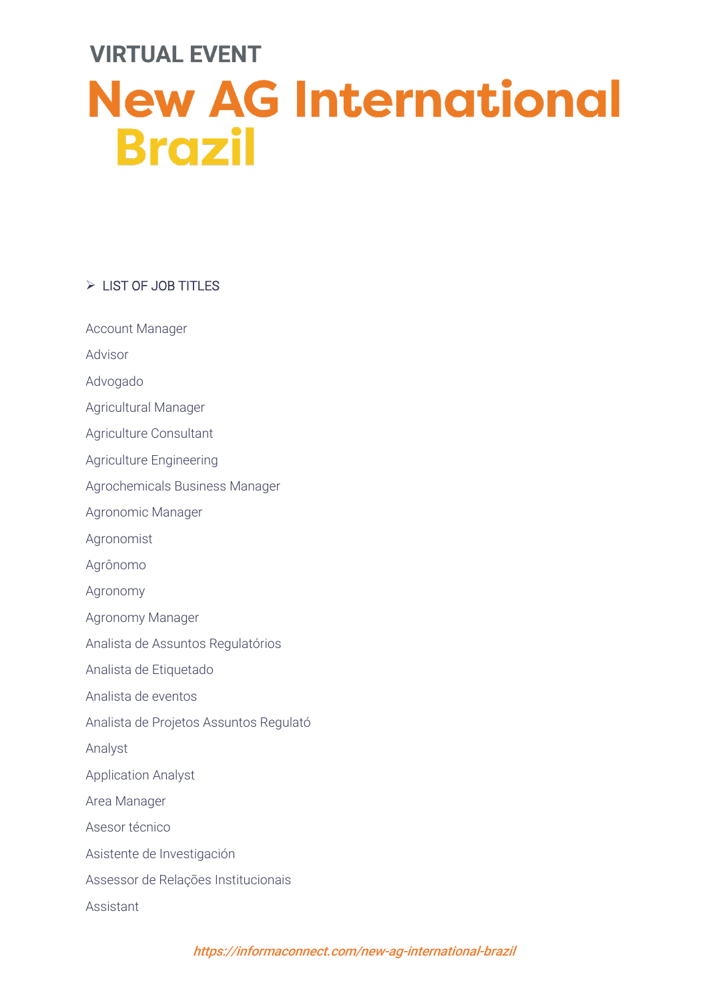#### $\triangleright$  LIST OF JOB TITLES

Account Manager

Advisor

Advogado

Agricultural Manager

Agriculture Consultant

Agriculture Engineering

Agrochemicals Business Manager

Agronomic Manager

Agronomist

Agrônomo

Agronomy

Agronomy Manager

Analista de Assuntos Regulatórios

Analista de Etiquetado

Analista de eventos

Analista de Projetos Assuntos Regulató

Analyst

Application Analyst

Area Manager

Asesor técnico

Asistente de Investigación

Assessor de Relações Institucionais

Assistant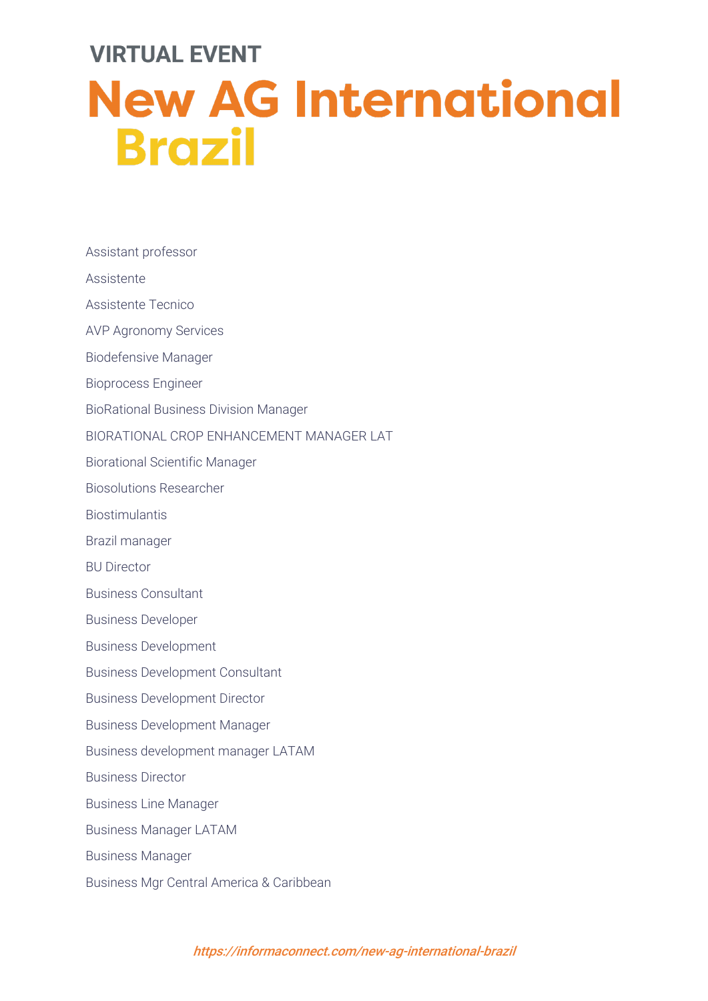Assistant professor

Assistente

Assistente Tecnico

AVP Agronomy Services

Biodefensive Manager

Bioprocess Engineer

BioRational Business Division Manager

BIORATIONAL CROP ENHANCEMENT MANAGER LAT

Biorational Scientific Manager

Biosolutions Researcher

**Biostimulantis** 

Brazil manager

BU Director

Business Consultant

Business Developer

Business Development

Business Development Consultant

Business Development Director

Business Development Manager

Business development manager LATAM

Business Director

Business Line Manager

Business Manager LATAM

Business Manager

Business Mgr Central America & Caribbean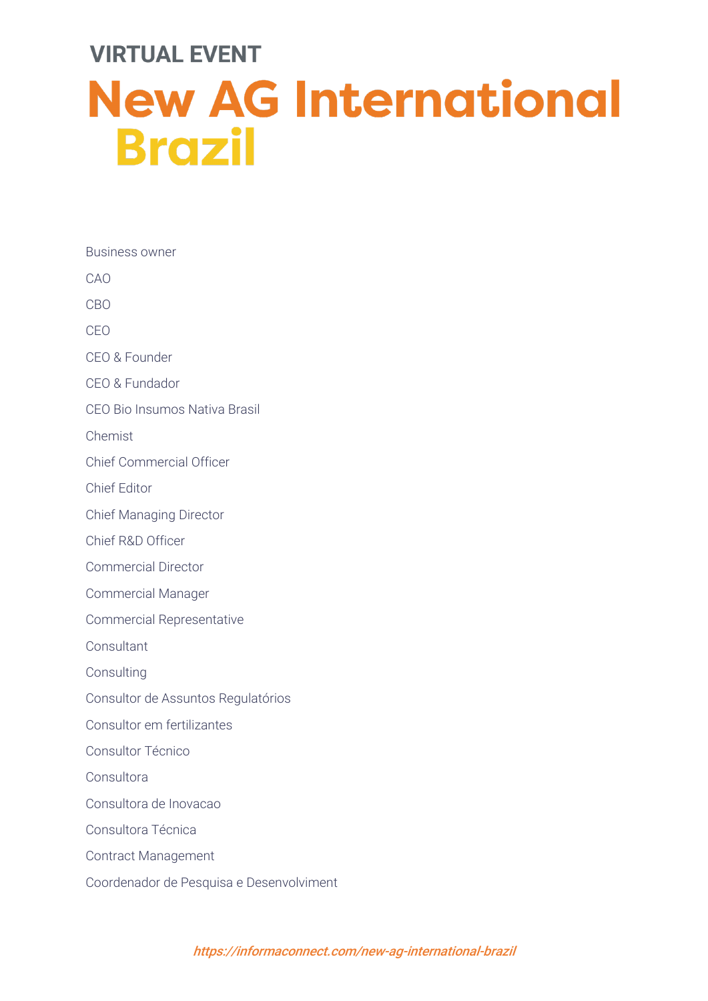Business owner CAO CBO CEO CEO & Founder CEO & Fundador CEO Bio Insumos Nativa Brasil Chemist Chief Commercial Officer Chief Editor Chief Managing Director Chief R&D Officer Commercial Director Commercial Manager Commercial Representative **Consultant Consulting** Consultor de Assuntos Regulatórios Consultor em fertilizantes Consultor Técnico Consultora Consultora de Inovacao Consultora Técnica Contract Management Coordenador de Pesquisa e Desenvolviment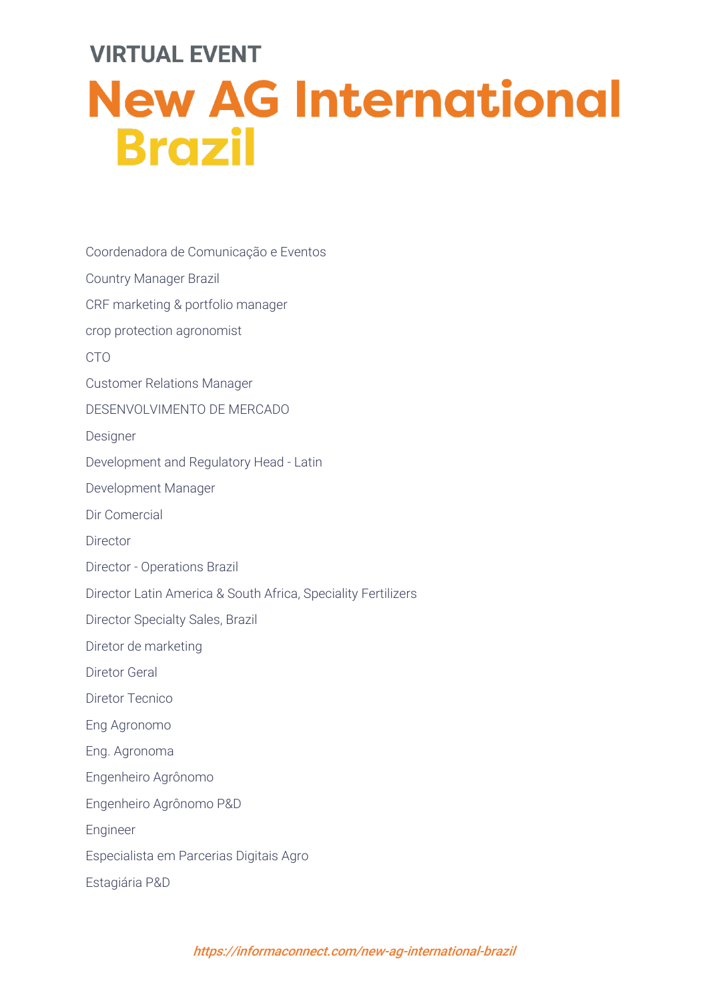Coordenadora de Comunicação e Eventos Country Manager Brazil

CRF marketing & portfolio manager

crop protection agronomist

CTO

Customer Relations Manager

DESENVOLVIMENTO DE MERCADO

**Designer** 

Development and Regulatory Head - Latin

Development Manager

Dir Comercial

Director

Director - Operations Brazil

Director Latin America & South Africa, Speciality Fertilizers

Director Specialty Sales, Brazil

Diretor de marketing

Diretor Geral

Diretor Tecnico

Eng Agronomo

Eng. Agronoma

Engenheiro Agrônomo

Engenheiro Agrônomo P&D

Engineer

Especialista em Parcerias Digitais Agro

Estagiária P&D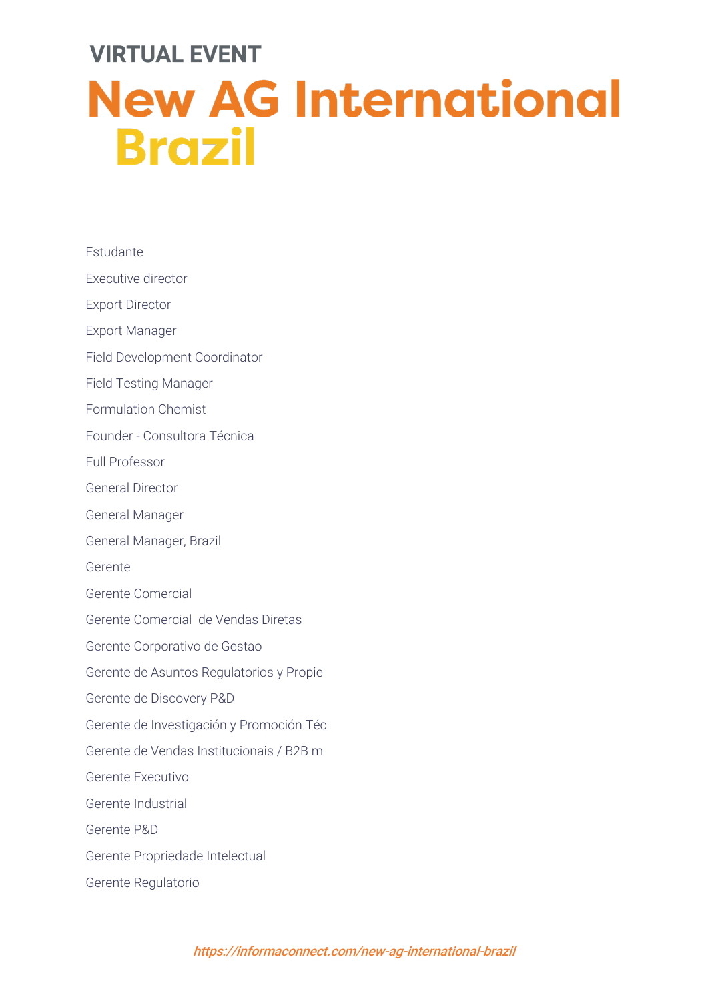| Estudante                                |
|------------------------------------------|
| Executive director                       |
| <b>Export Director</b>                   |
| <b>Export Manager</b>                    |
| Field Development Coordinator            |
| <b>Field Testing Manager</b>             |
| <b>Formulation Chemist</b>               |
| Founder - Consultora Técnica             |
| <b>Full Professor</b>                    |
| <b>General Director</b>                  |
| <b>General Manager</b>                   |
| General Manager, Brazil                  |
| Gerente                                  |
| Gerente Comercial                        |
| Gerente Comercial de Vendas Diretas      |
| Gerente Corporativo de Gestao            |
| Gerente de Asuntos Regulatorios y Propie |
| Gerente de Discovery P&D                 |
| Gerente de Investigación y Promoción Téc |
| Gerente de Vendas Institucionais / B2B m |
| Gerente Executivo                        |
| Gerente Industrial                       |
| Gerente P&D                              |
| Gerente Propriedade Intelectual          |
| Gerente Regulatorio                      |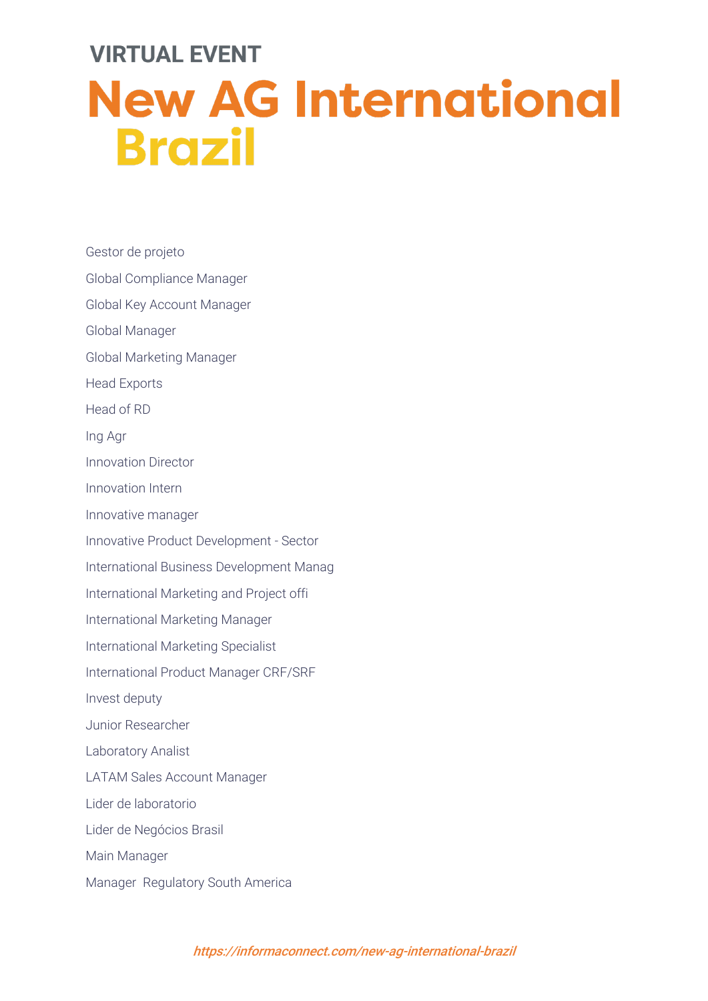Gestor de projeto Global Compliance Manager Global Key Account Manager Global Manager Global Marketing Manager Head Exports Head of RD Ing Agr Innovation Director Innovation Intern Innovative manager Innovative Product Development - Sector International Business Development Manag International Marketing and Project offi International Marketing Manager International Marketing Specialist International Product Manager CRF/SRF Invest deputy Junior Researcher Laboratory Analist LATAM Sales Account Manager Lider de laboratorio Lider de Negócios Brasil Main Manager Manager Regulatory South America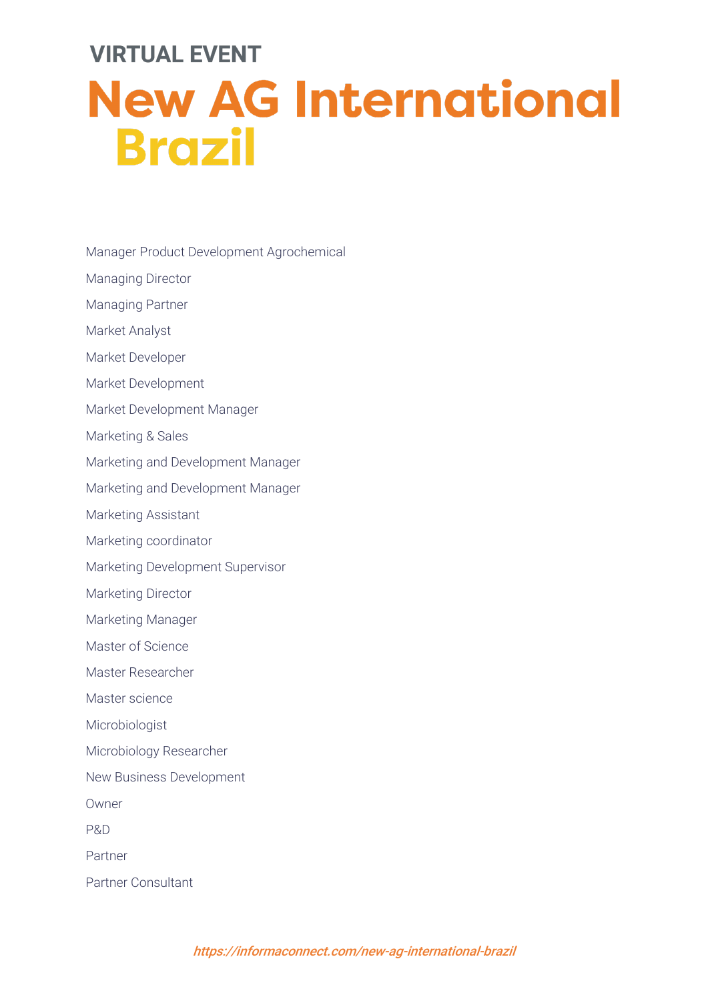- Manager Product Development Agrochemical
- Managing Director
- Managing Partner
- Market Analyst
- Market Developer
- Market Development
- Market Development Manager
- Marketing & Sales
- Marketing and Development Manager
- Marketing and Development Manager
- Marketing Assistant
- Marketing coordinator
- Marketing Development Supervisor
- Marketing Director
- Marketing Manager
- Master of Science
- Master Researcher
- Master science
- Microbiologist
- Microbiology Researcher
- New Business Development
- Owner
- P&D
- Partner
- Partner Consultant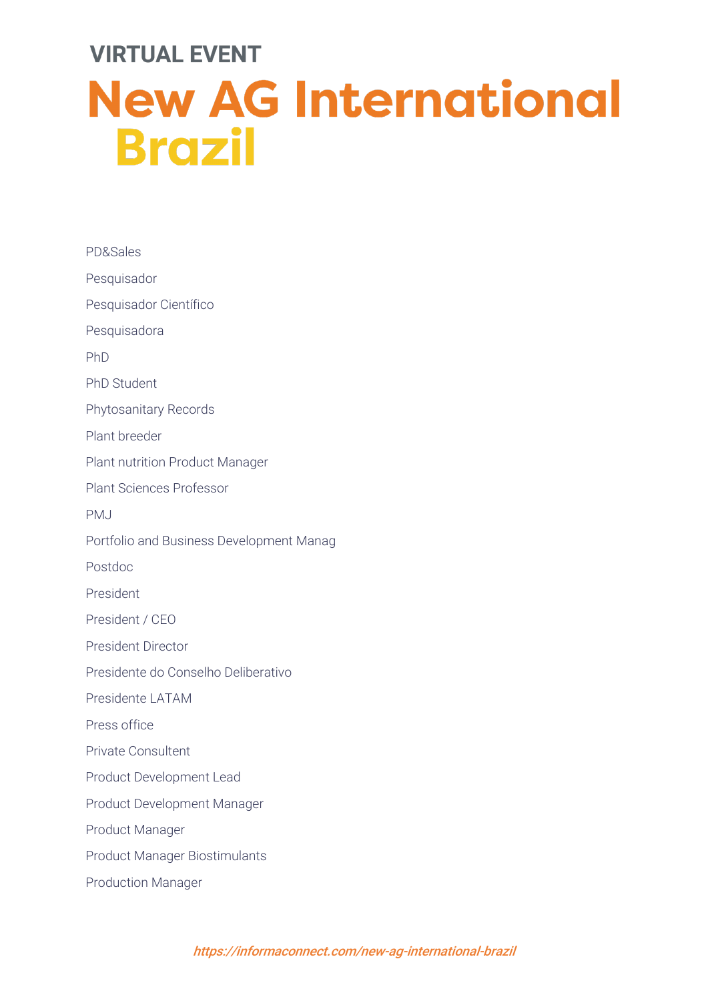| PD&Sales                                 |
|------------------------------------------|
| Pesquisador                              |
| Pesquisador Científico                   |
| Pesquisadora                             |
| PhD                                      |
| <b>PhD Student</b>                       |
| <b>Phytosanitary Records</b>             |
| Plant breeder                            |
| <b>Plant nutrition Product Manager</b>   |
| <b>Plant Sciences Professor</b>          |
| <b>PMJ</b>                               |
| Portfolio and Business Development Manag |
| Postdoc                                  |
| President                                |
| President / CEO                          |
| <b>President Director</b>                |
| Presidente do Conselho Deliberativo      |
| Presidente LATAM                         |
| Press office                             |
| <b>Private Consultent</b>                |
| Product Development Lead                 |
| Product Development Manager              |
| Product Manager                          |
| <b>Product Manager Biostimulants</b>     |
| <b>Production Manager</b>                |
|                                          |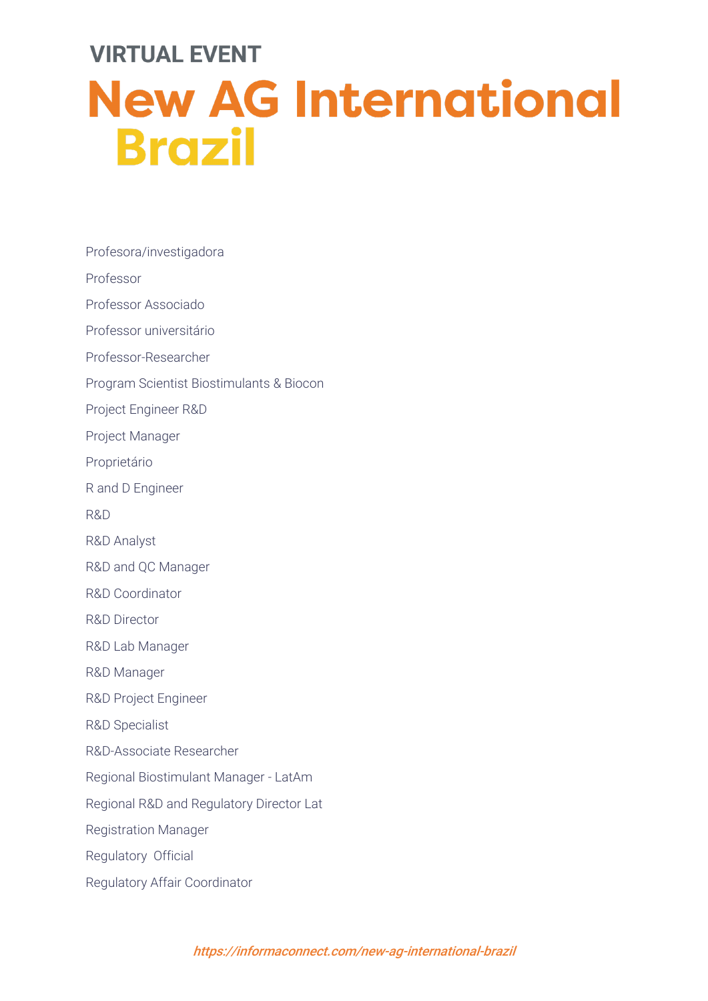Profesora/investigadora Professor Professor Associado Professor universitário Professor-Researcher Program Scientist Biostimulants & Biocon Project Engineer R&D Project Manager Proprietário R and D Engineer R&D R&D Analyst R&D and QC Manager R&D Coordinator R&D Director R&D Lab Manager R&D Manager R&D Project Engineer R&D Specialist R&D-Associate Researcher Regional Biostimulant Manager - LatAm Regional R&D and Regulatory Director Lat Registration Manager Regulatory Official Regulatory Affair Coordinator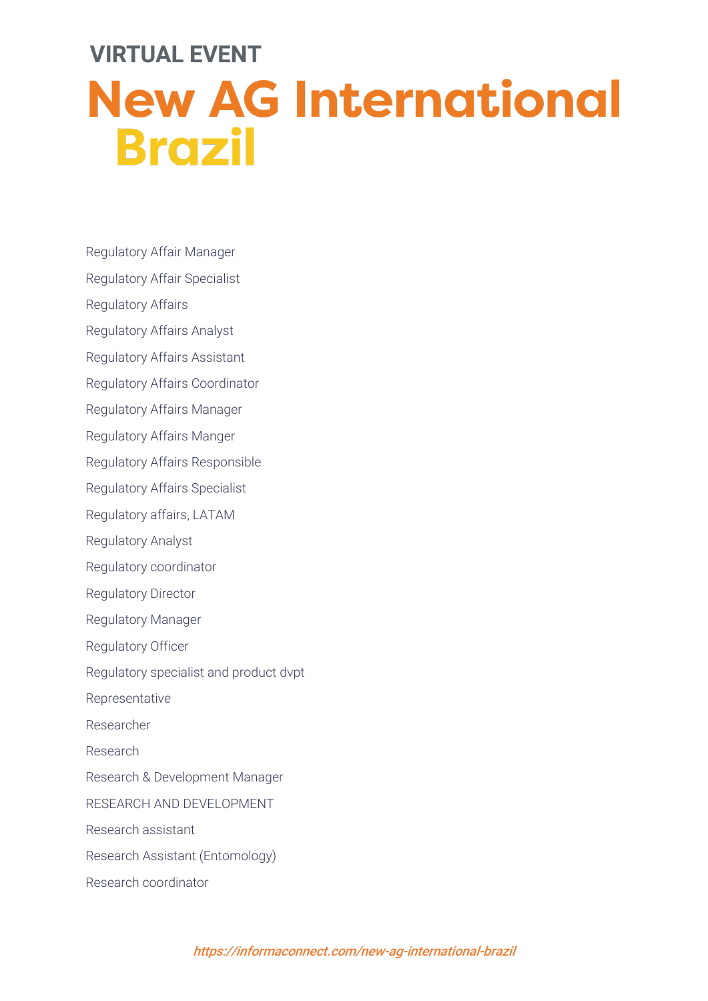Regulatory Affair Manager

- Regulatory Affair Specialist
- Regulatory Affairs
- Regulatory Affairs Analyst
- Regulatory Affairs Assistant
- Regulatory Affairs Coordinator
- Regulatory Affairs Manager
- Regulatory Affairs Manger
- Regulatory Affairs Responsible
- Regulatory Affairs Specialist
- Regulatory affairs, LATAM
- Regulatory Analyst
- Regulatory coordinator
- Regulatory Director
- Regulatory Manager
- Regulatory Officer
- Regulatory specialist and product dvpt
- Representative
- Researcher
- Research
- Research & Development Manager
- RESEARCH AND DEVELOPMENT
- Research assistant
- Research Assistant (Entomology)
- Research coordinator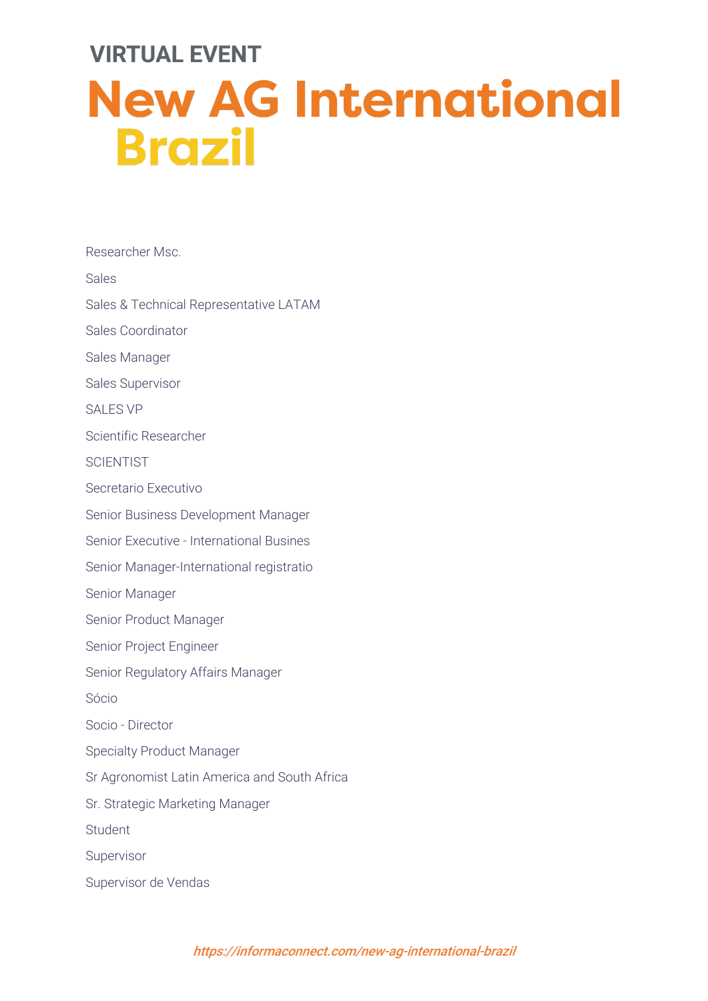Researcher Msc. Sales Sales & Technical Representative LATAM Sales Coordinator Sales Manager Sales Supervisor SALES VP Scientific Researcher **SCIENTIST** Secretario Executivo Senior Business Development Manager Senior Executive - International Busines Senior Manager-International registratio Senior Manager Senior Product Manager Senior Project Engineer Senior Regulatory Affairs Manager Sócio Socio - Director Specialty Product Manager Sr Agronomist Latin America and South Africa Sr. Strategic Marketing Manager Student Supervisor Supervisor de Vendas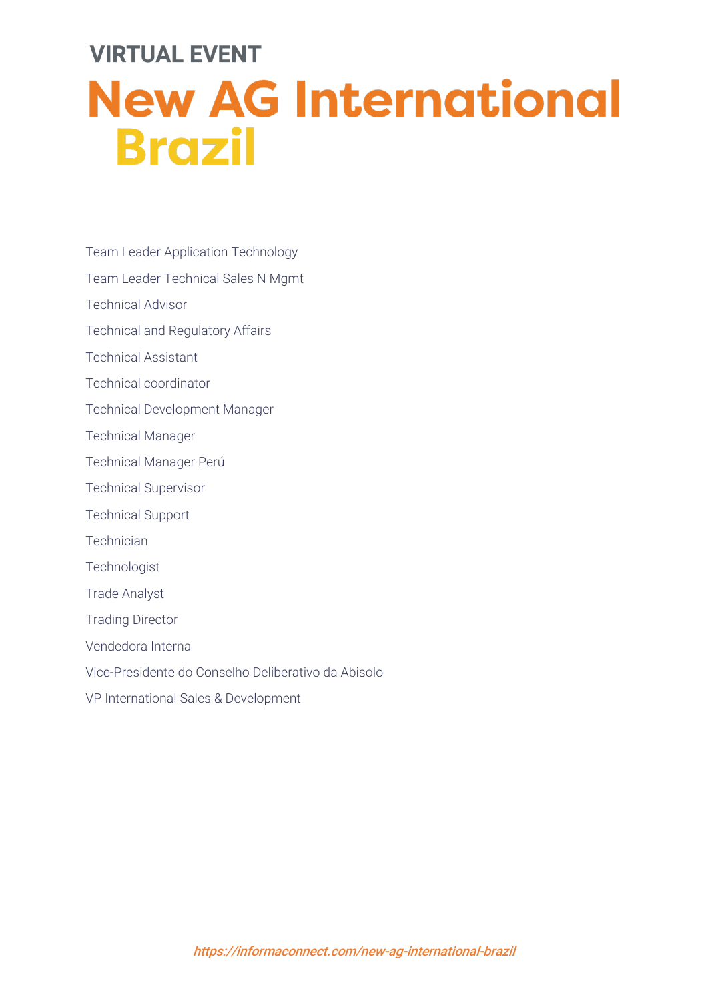- Team Leader Application Technology
- Team Leader Technical Sales N Mgmt
- Technical Advisor
- Technical and Regulatory Affairs
- Technical Assistant
- Technical coordinator
- Technical Development Manager
- Technical Manager
- Technical Manager Perú
- Technical Supervisor
- Technical Support
- **Technician**
- **Technologist**
- Trade Analyst
- Trading Director
- Vendedora Interna
- Vice-Presidente do Conselho Deliberativo da Abisolo
- VP International Sales & Development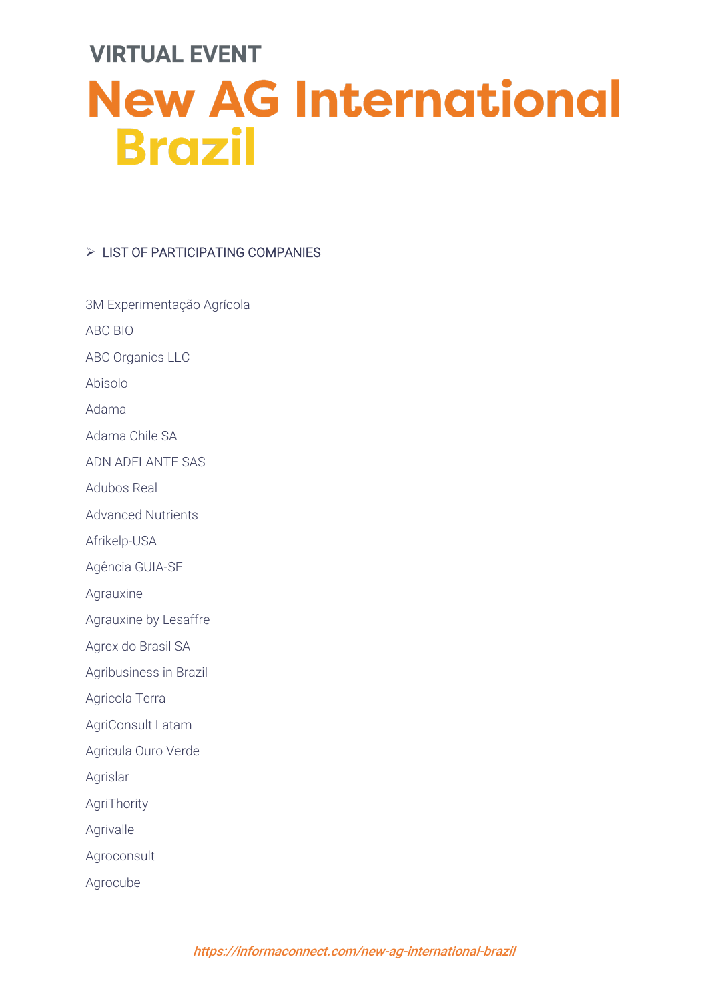#### $\triangleright$  LIST OF PARTICIPATING COMPANIES

| 3M Experimentação Agrícola |
|----------------------------|
| ABC BIO                    |
| <b>ABC Organics LLC</b>    |
| Abisolo                    |
| Adama                      |
| Adama Chile SA             |
| ADN ADELANTE SAS           |
| <b>Adubos Real</b>         |
| <b>Advanced Nutrients</b>  |
| Afrikelp-USA               |
| Agência GUIA-SE            |
| Agrauxine                  |
| Agrauxine by Lesaffre      |
| Agrex do Brasil SA         |
| Agribusiness in Brazil     |
| Agricola Terra             |
| AgriConsult Latam          |
| Agricula Ouro Verde        |
| Agrislar                   |
| AgriThority                |
| Agrivalle                  |
| Agroconsult                |
| Agrocube                   |
|                            |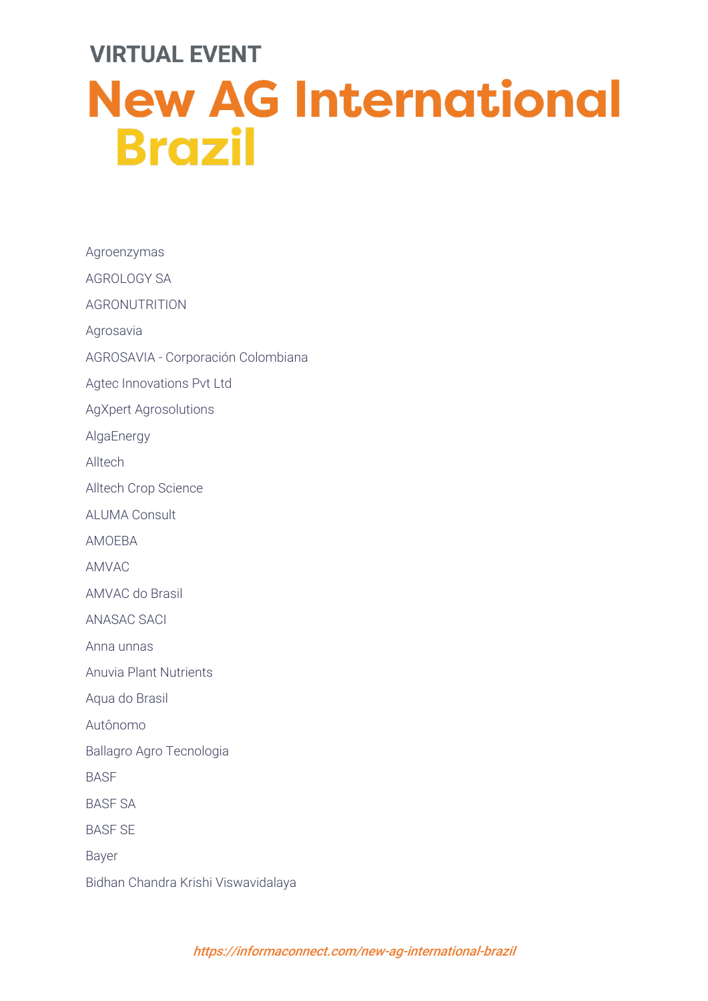Agroenzymas AGROLOGY SA AGRONUTRITION Agrosavia AGROSAVIA - Corporación Colombiana Agtec Innovations Pvt Ltd AgXpert Agrosolutions **AlgaEnergy** Alltech Alltech Crop Science ALUMA Consult AMOEBA AMVAC AMVAC do Brasil ANASAC SACI Anna unnas Anuvia Plant Nutrients Aqua do Brasil Autônomo Ballagro Agro Tecnologia **BASE** BASF SA BASF SE Bayer Bidhan Chandra Krishi Viswavidalaya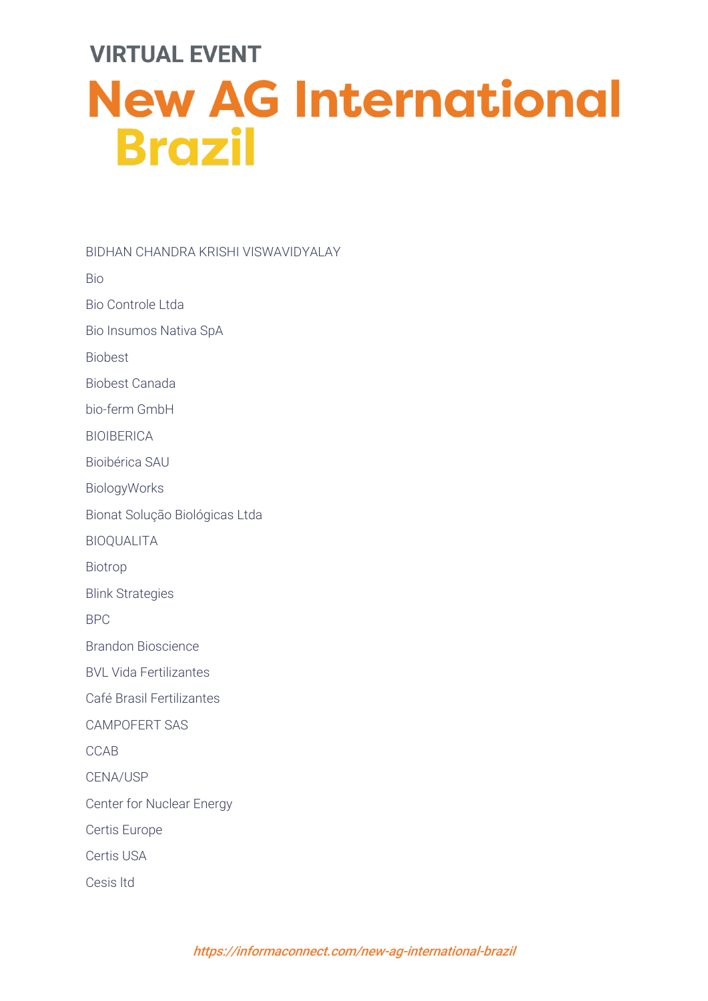BIDHAN CHANDRA KRISHI VISWAVIDYALAY Bio Bio Controle Ltda Bio Insumos Nativa SpA Biobest Biobest Canada bio-ferm GmbH BIOIBERICA Bioibérica SAU BiologyWorks Bionat Solução Biológicas Ltda BIOQUALITA Biotrop Blink Strategies BPC Brandon Bioscience BVL Vida Fertilizantes Café Brasil Fertilizantes CAMPOFERT SAS CCAB CENA/USP Center for Nuclear Energy Certis Europe Certis USA Cesis ltd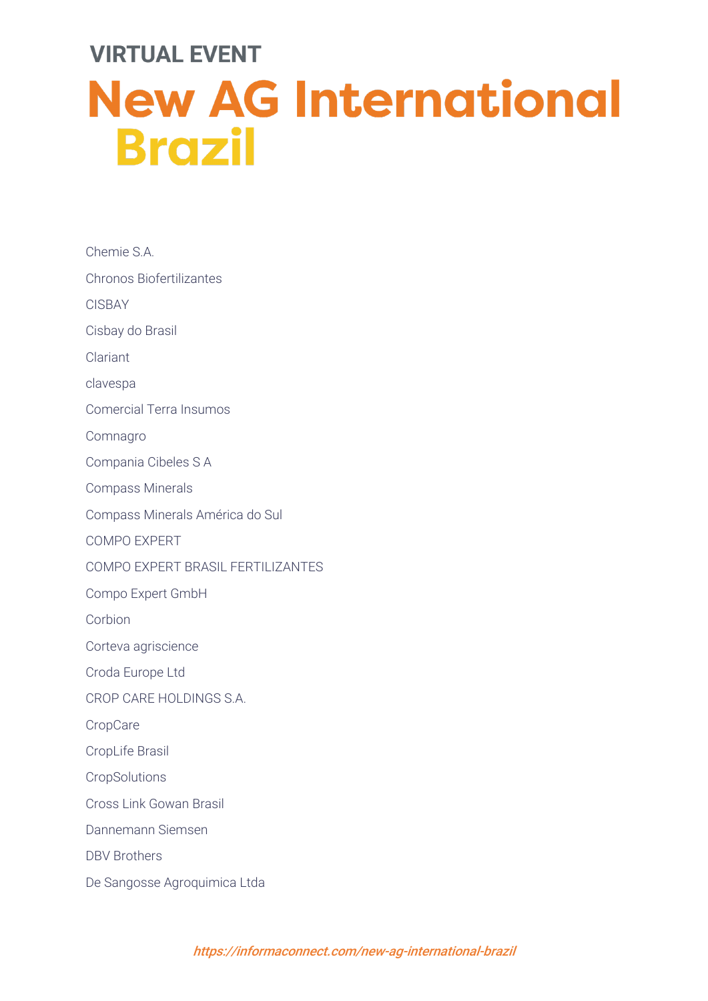| Chemie S.A.                       |
|-----------------------------------|
| <b>Chronos Biofertilizantes</b>   |
| <b>CISBAY</b>                     |
| Cisbay do Brasil                  |
| Clariant                          |
| clavespa                          |
| <b>Comercial Terra Insumos</b>    |
| Comnagro                          |
| Compania Cibeles S A              |
| <b>Compass Minerals</b>           |
| Compass Minerals América do Sul   |
| <b>COMPO EXPERT</b>               |
| COMPO EXPERT BRASIL FERTILIZANTES |
| Compo Expert GmbH                 |
| Corbion                           |
| Corteva agriscience               |
| Croda Europe Ltd                  |
| CROP CARE HOLDINGS S.A.           |
| CropCare                          |
| CropLife Brasil                   |
| CropSolutions                     |
| Cross Link Gowan Brasil           |
| Dannemann Siemsen                 |
| <b>DBV Brothers</b>               |
| De Sangosse Agroquimica Ltda      |
|                                   |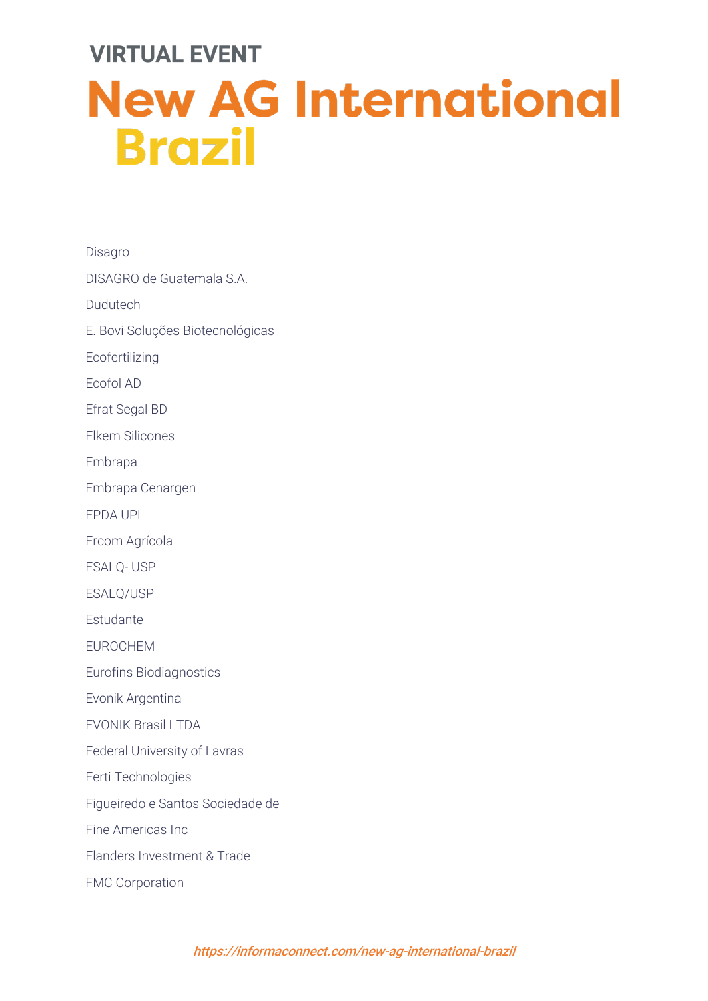Disagro DISAGRO de Guatemala S.A. Dudutech E. Bovi Soluções Biotecnológicas Ecofertilizing Ecofol AD Efrat Segal BD Elkem Silicones Embrapa Embrapa Cenargen EPDA UPL Ercom Agrícola ESALQ- USP ESALQ/USP Estudante EUROCHEM Eurofins Biodiagnostics Evonik Argentina EVONIK Brasil LTDA Federal University of Lavras Ferti Technologies Figueiredo e Santos Sociedade de Fine Americas Inc Flanders Investment & Trade FMC Corporation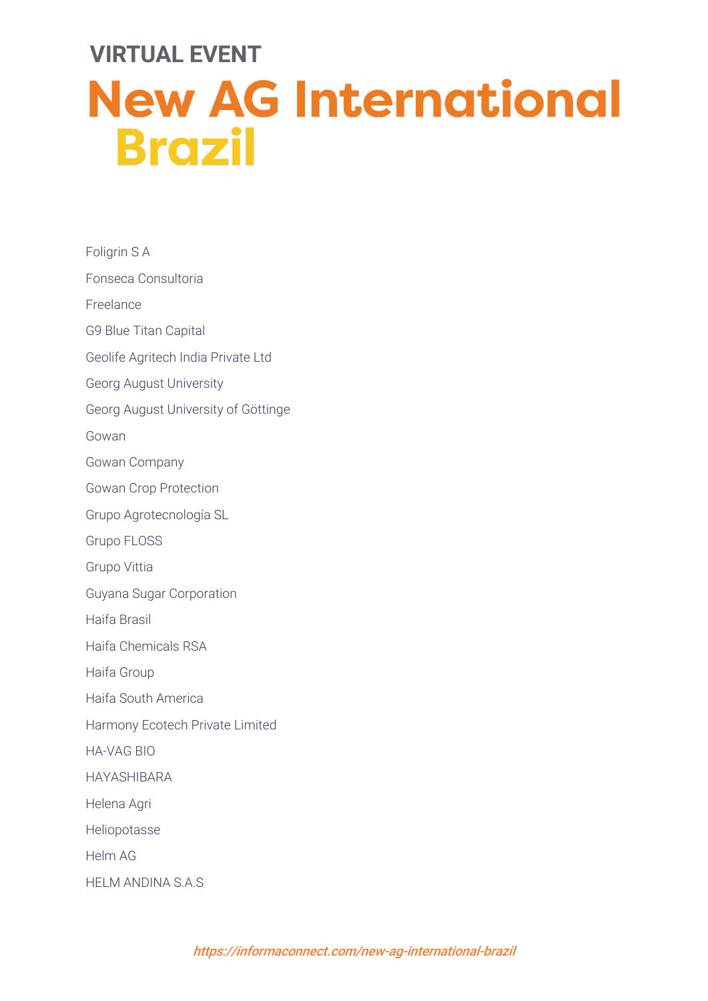| Foligrin S A                        |
|-------------------------------------|
| Fonseca Consultoria                 |
| Freelance                           |
| <b>G9 Blue Titan Capital</b>        |
| Geolife Agritech India Private Ltd  |
| Georg August University             |
| Georg August University of Göttinge |
| Gowan                               |
| Gowan Company                       |
| <b>Gowan Crop Protection</b>        |
| Grupo Agrotecnología SL             |
| Grupo FLOSS                         |
| Grupo Vittia                        |
| Guyana Sugar Corporation            |
| Haifa Brasil                        |
| Haifa Chemicals RSA                 |
| Haifa Group                         |
| Haifa South America                 |
| Harmony Ecotech Private Limited     |
| <b>HA-VAG BIO</b>                   |
| <b>HAYASHIBARA</b>                  |
| Helena Agri                         |
| Heliopotasse                        |
| <b>Helm AG</b>                      |
| HELM ANDINA S.A.S                   |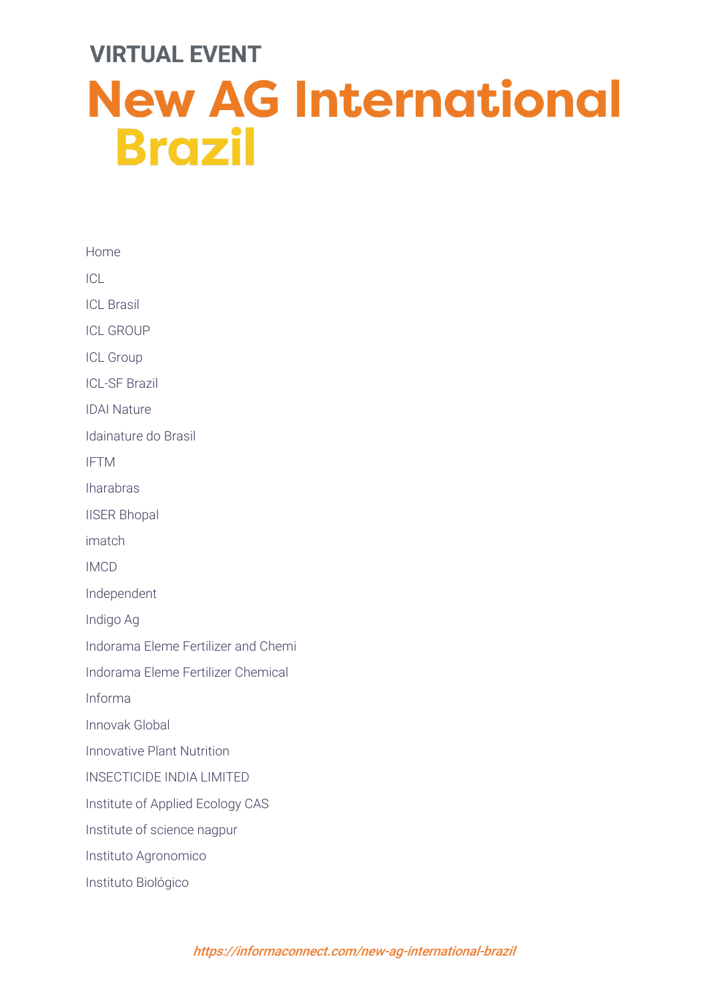| Home                                |
|-------------------------------------|
| ICL                                 |
| <b>ICL Brasil</b>                   |
| <b>ICL GROUP</b>                    |
| <b>ICL Group</b>                    |
| <b>ICL-SF Brazil</b>                |
| <b>IDAI Nature</b>                  |
| Idainature do Brasil                |
| <b>IFTM</b>                         |
| <b>Iharabras</b>                    |
| <b>IISER Bhopal</b>                 |
| imatch                              |
| <b>IMCD</b>                         |
| Independent                         |
| Indigo Ag                           |
| Indorama Eleme Fertilizer and Chemi |
| Indorama Eleme Fertilizer Chemical  |
| Informa                             |
| Innovak Global                      |
| <b>Innovative Plant Nutrition</b>   |
| <b>INSECTICIDE INDIA LIMITED</b>    |
| Institute of Applied Ecology CAS    |
| Institute of science nagpur         |
| Instituto Agronomico                |
| Instituto Biológico                 |
|                                     |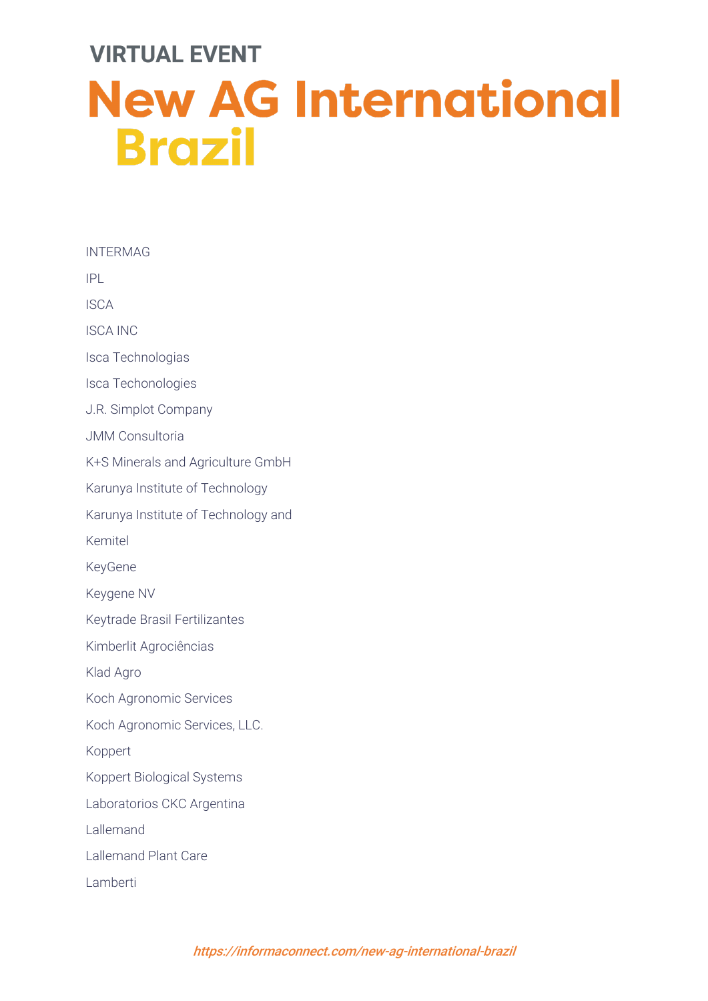INTERMAG IPL ISCA ISCA INC Isca Technologias Isca Techonologies J.R. Simplot Company JMM Consultoria K+S Minerals and Agriculture GmbH Karunya Institute of Technology Karunya Institute of Technology and Kemitel KeyGene Keygene NV Keytrade Brasil Fertilizantes Kimberlit Agrociências Klad Agro Koch Agronomic Services Koch Agronomic Services, LLC. Koppert Koppert Biological Systems Laboratorios CKC Argentina Lallemand Lallemand Plant Care Lamberti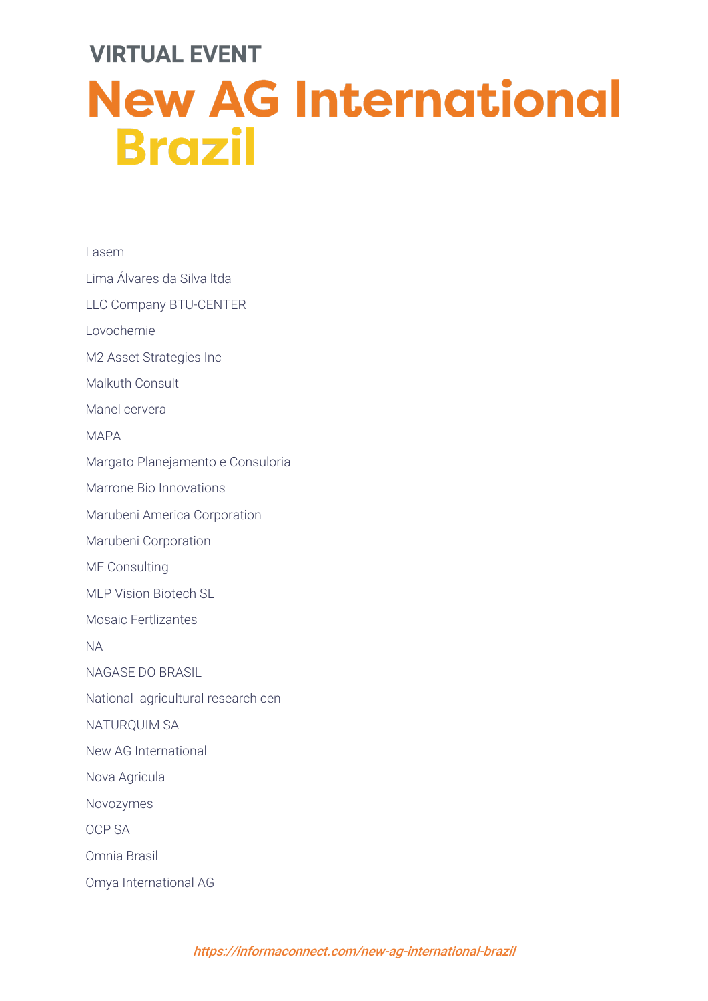Lasem Lima Álvares da Silva ltda LLC Company BTU-CENTER Lovochemie M2 Asset Strategies Inc Malkuth Consult Manel cervera MAPA Margato Planejamento e Consuloria Marrone Bio Innovations Marubeni America Corporation Marubeni Corporation MF Consulting MLP Vision Biotech SL Mosaic Fertlizantes NA NAGASE DO BRASIL National agricultural research cen NATURQUIM SA New AG International Nova Agricula Novozymes OCP SA Omnia Brasil Omya International AG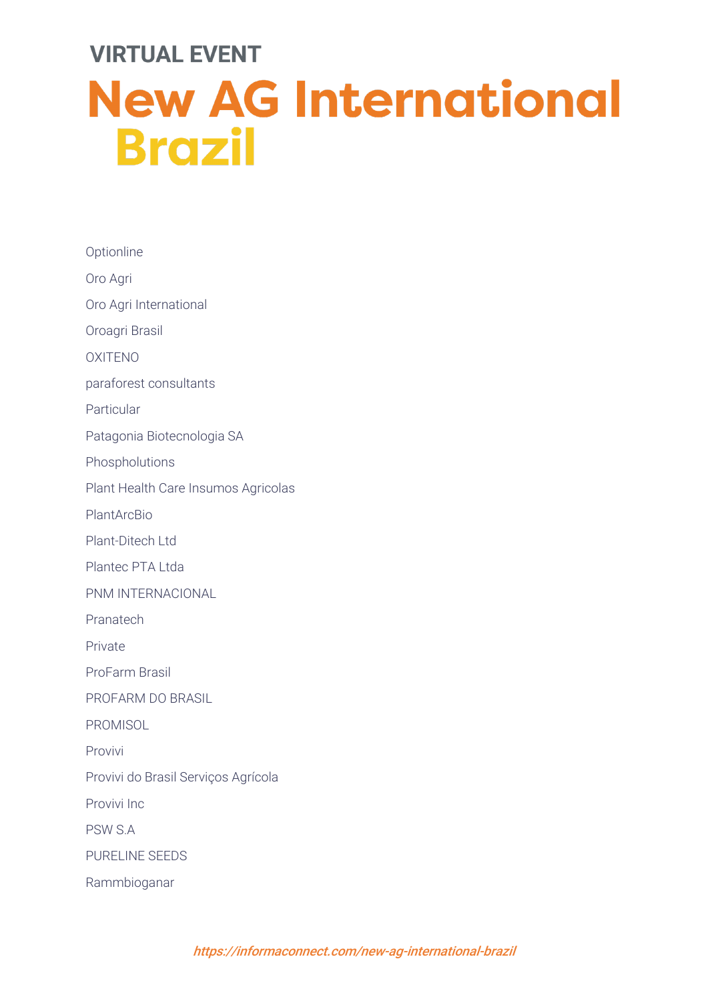**Optionline** Oro Agri Oro Agri International Oroagri Brasil OXITENO paraforest consultants Particular Patagonia Biotecnologia SA Phospholutions Plant Health Care Insumos Agricolas PlantArcBio Plant-Ditech Ltd Plantec PTA Ltda PNM INTERNACIONAL Pranatech Private ProFarm Brasil PROFARM DO BRASIL **PROMISOL** Provivi Provivi do Brasil Serviços Agrícola Provivi Inc PSW S.A PURELINE SEEDS Rammbioganar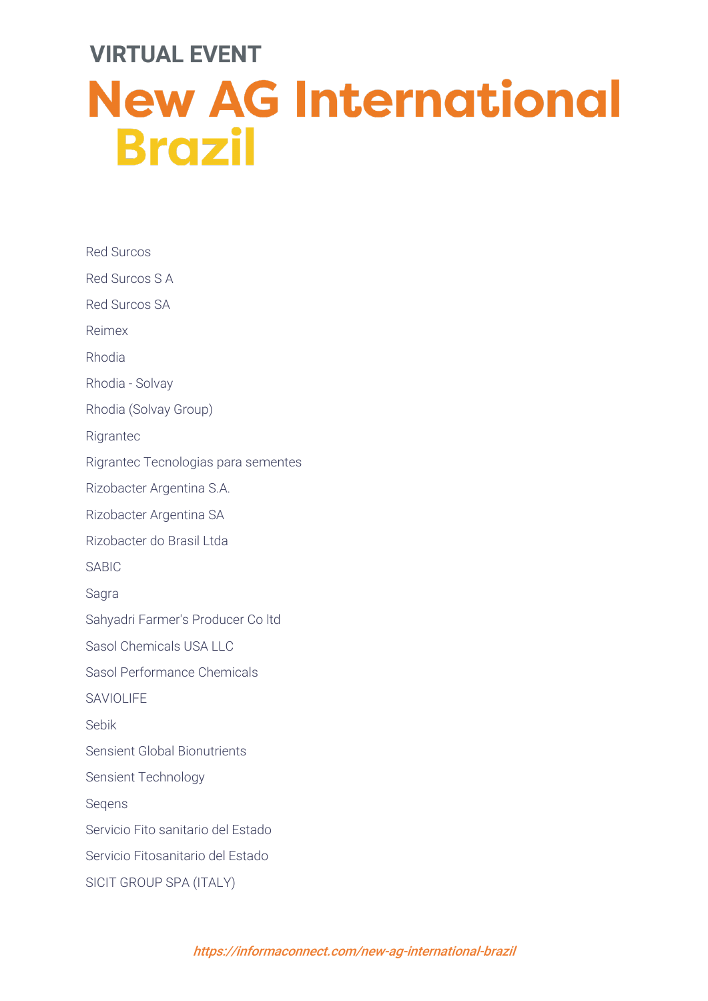Red Surcos Red Surcos S A Red Surcos SA Reimex Rhodia Rhodia - Solvay Rhodia (Solvay Group) **Rigrantec** Rigrantec Tecnologias para sementes Rizobacter Argentina S.A. Rizobacter Argentina SA Rizobacter do Brasil Ltda SABIC Sagra Sahyadri Farmer's Producer Co ltd Sasol Chemicals USA LLC Sasol Performance Chemicals SAVIOLIFF Sebik Sensient Global Bionutrients Sensient Technology Seqens Servicio Fito sanitario del Estado Servicio Fitosanitario del Estado SICIT GROUP SPA (ITALY)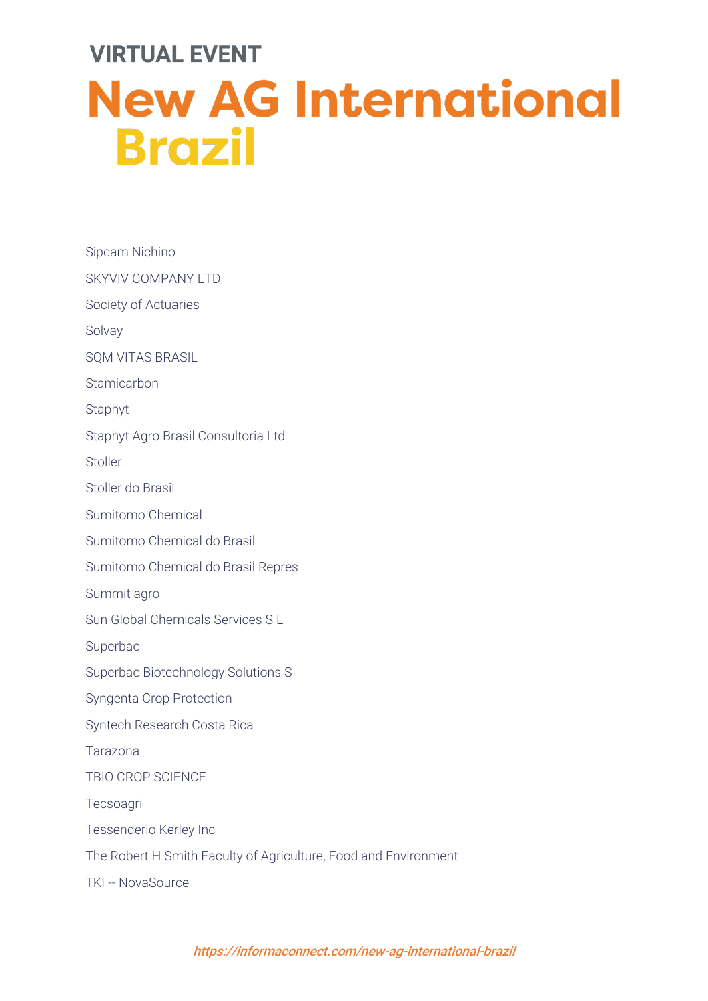Sipcam Nichino SKYVIV COMPANY LTD Society of Actuaries Solvay SQM VITAS BRASIL **Stamicarbon** Staphyt Staphyt Agro Brasil Consultoria Ltd Stoller Stoller do Brasil Sumitomo Chemical Sumitomo Chemical do Brasil Sumitomo Chemical do Brasil Repres Summit agro Sun Global Chemicals Services S L Superbac Superbac Biotechnology Solutions S Syngenta Crop Protection Syntech Research Costa Rica Tarazona TBIO CROP SCIENCE Tecsoagri Tessenderlo Kerley Inc The Robert H Smith Faculty of Agriculture, Food and Environment TKI -- NovaSource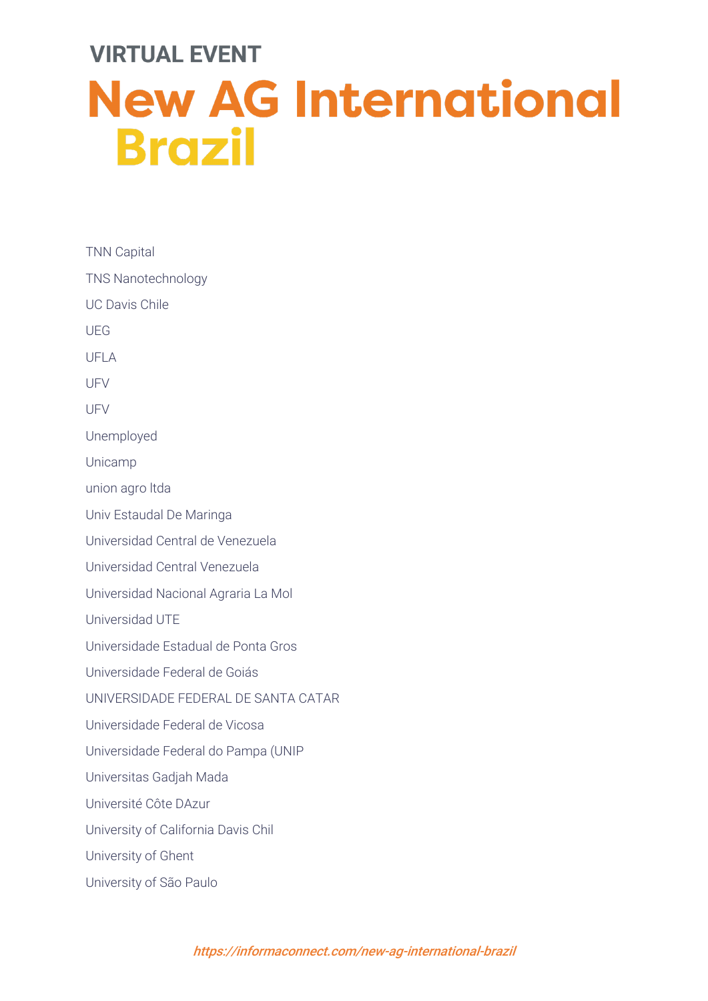TNN Capital TNS Nanotechnology UC Davis Chile UEG UFLA UFV UFV Unemployed Unicamp union agro ltda Univ Estaudal De Maringa Universidad Central de Venezuela Universidad Central Venezuela Universidad Nacional Agraria La Mol Universidad UTE Universidade Estadual de Ponta Gros Universidade Federal de Goiás UNIVERSIDADE FEDERAL DE SANTA CATAR Universidade Federal de Vicosa Universidade Federal do Pampa (UNIP Universitas Gadjah Mada Université Côte DAzur University of California Davis Chil University of Ghent University of São Paulo